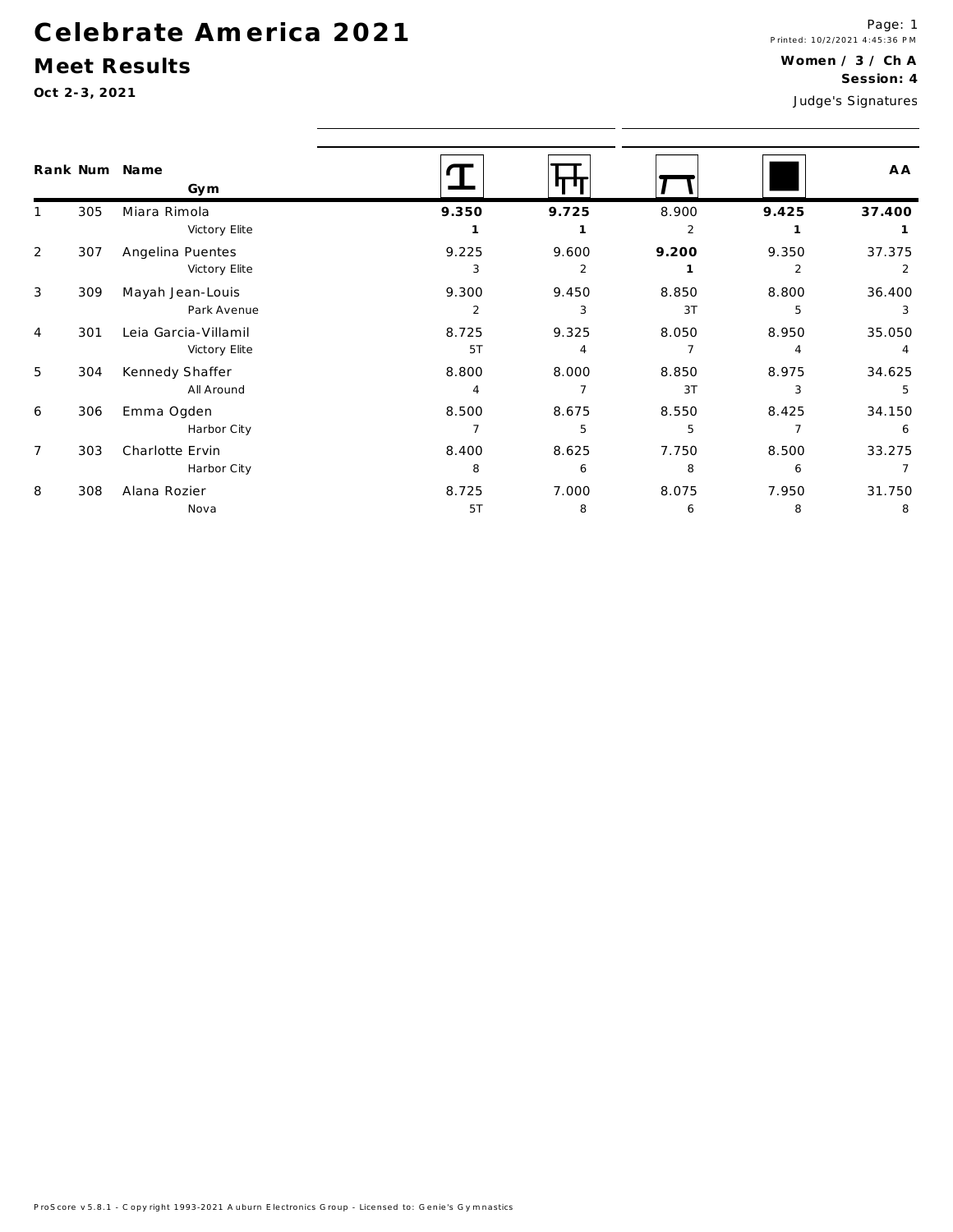#### Meet Results

|                |     | Rank Num Name<br>Gym |                |                |       |                | A A            |  |  |
|----------------|-----|----------------------|----------------|----------------|-------|----------------|----------------|--|--|
|                | 305 | Miara Rimola         | 9.350          | 9.725          | 8.900 | 9.425          | 37.400         |  |  |
|                |     | Victory Elite        |                |                | 2     |                |                |  |  |
| 2              | 307 | Angelina Puentes     | 9.225          | 9.600          | 9.200 | 9.350          | 37.375         |  |  |
|                |     | Victory Elite        | 3              | $\overline{2}$ |       | $\overline{2}$ |                |  |  |
| 3              | 309 | Mayah Jean-Louis     | 9.300          | 9.450          | 8.850 | 8.800          | 36.400         |  |  |
|                |     | Park Avenue          | $\overline{2}$ | 3              | 3T    | 5              | 3              |  |  |
| 4              | 301 | Leia Garcia-Villamil | 8.725          | 9.325          | 8.050 | 8.950          | 35.050         |  |  |
|                |     | Victory Elite        | 5T             | $\overline{4}$ | 7     | 4              | $\overline{4}$ |  |  |
| 5              | 304 | Kennedy Shaffer      | 8.800          | 8.000          | 8.850 | 8.975          | 34.625         |  |  |
|                |     | All Around           | $\overline{4}$ |                | 3T    | 3              | .5             |  |  |
| 6              | 306 | Emma Ogden           | 8.500          | 8.675          | 8.550 | 8.425          | 34.150         |  |  |
|                |     | Harbor City          | 7              | 5              | 5     |                | 6              |  |  |
| $\overline{7}$ | 303 | Charlotte Ervin      | 8.400          | 8.625          | 7.750 | 8.500          | 33.275         |  |  |
|                |     | Harbor City          | 8              | 6              | 8     | 6              |                |  |  |
| 8              | 308 | Alana Rozier         | 8.725          | 7.000          | 8.075 | 7.950          | 31.750         |  |  |
|                |     | Nova                 | 5T             | 8              | 6     | 8              | 8              |  |  |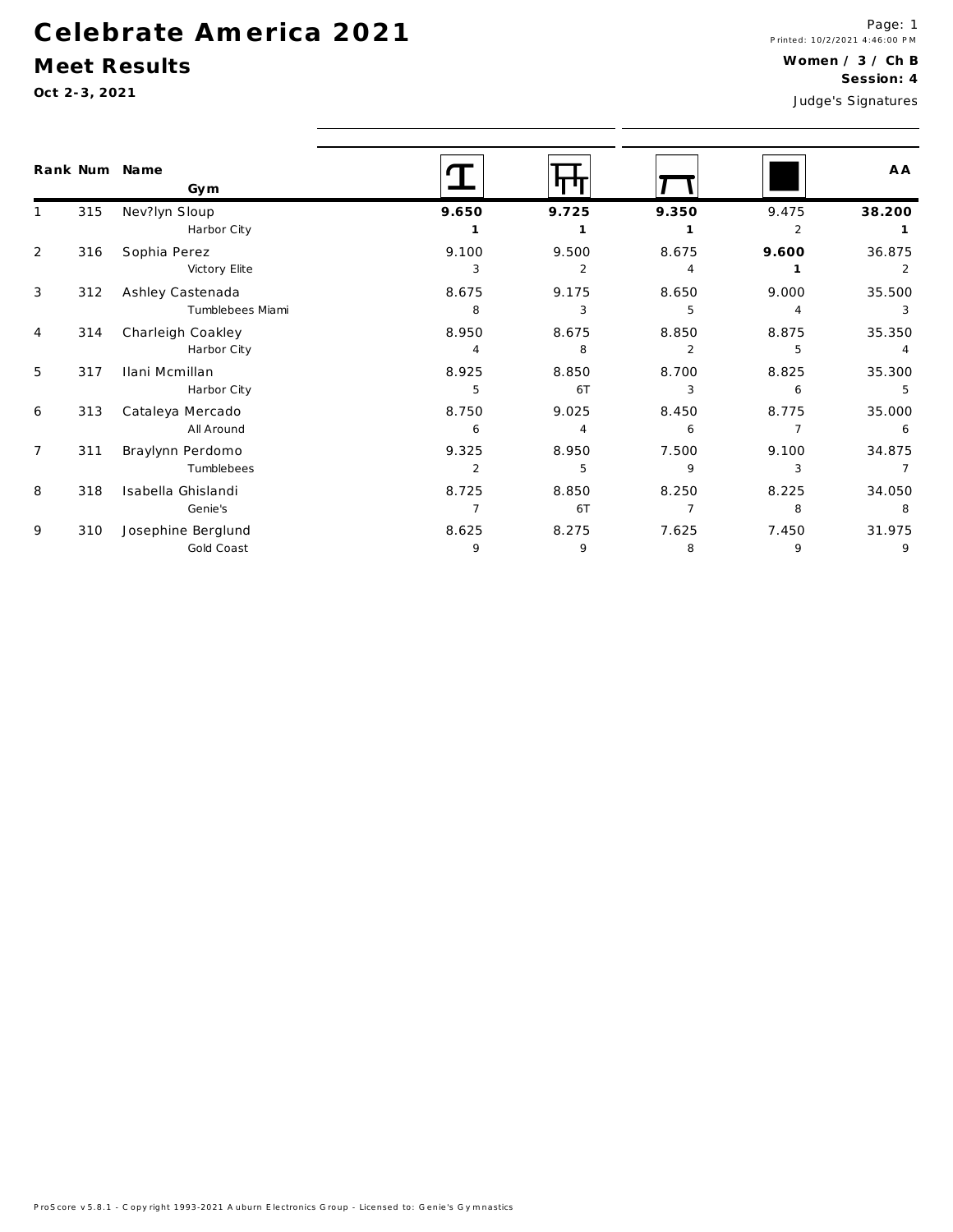### Meet Results

|                |     | Rank Num Name<br>Gym |                |                |                |                | A A            |
|----------------|-----|----------------------|----------------|----------------|----------------|----------------|----------------|
| $\mathbf{1}$   | 315 | Nev?lyn Sloup        | 9.650          | 9.725          | 9.350          | 9.475          | 38.200         |
|                |     | Harbor City          |                |                |                | $\overline{2}$ | 1              |
| 2              | 316 | Sophia Perez         | 9.100          | 9.500          | 8.675          | 9.600          | 36.875         |
|                |     | Victory Elite        | 3              | 2              | 4              |                | 2              |
| 3              | 312 | Ashley Castenada     | 8.675          | 9.175          | 8.650          | 9.000          | 35.500         |
|                |     | Tumblebees Miami     | 8              | 3              | 5              | 4              | 3              |
| 4              | 314 | Charleigh Coakley    | 8.950          | 8.675          | 8.850          | 8.875          | 35.350         |
|                |     | Harbor City          | 4              | 8              | $\overline{2}$ | 5              | $\overline{4}$ |
| 5              | 317 | Ilani Mcmillan       | 8.925          | 8.850          | 8.700          | 8.825          | 35.300         |
|                |     | Harbor City          | 5              | 6T             | 3              | 6              | 5              |
| 6              | 313 | Cataleya Mercado     | 8.750          | 9.025          | 8.450          | 8.775          | 35.000         |
|                |     | All Around           | 6              | $\overline{4}$ | 6              | 7              | 6              |
| $\overline{7}$ | 311 | Braylynn Perdomo     | 9.325          | 8.950          | 7.500          | 9.100          | 34.875         |
|                |     | Tumblebees           | $\overline{2}$ | 5              | 9              | 3              |                |
| 8              | 318 | Isabella Ghislandi   | 8.725          | 8.850          | 8.250          | 8.225          | 34.050         |
|                |     | Genie's              | $\overline{7}$ | 6T             | $\overline{7}$ | 8              | 8              |
| 9              | 310 | Josephine Berglund   | 8.625          | 8.275          | 7.625          | 7.450          | 31.975         |
|                |     | Gold Coast           | 9              | 9              | 8              | 9              | 9              |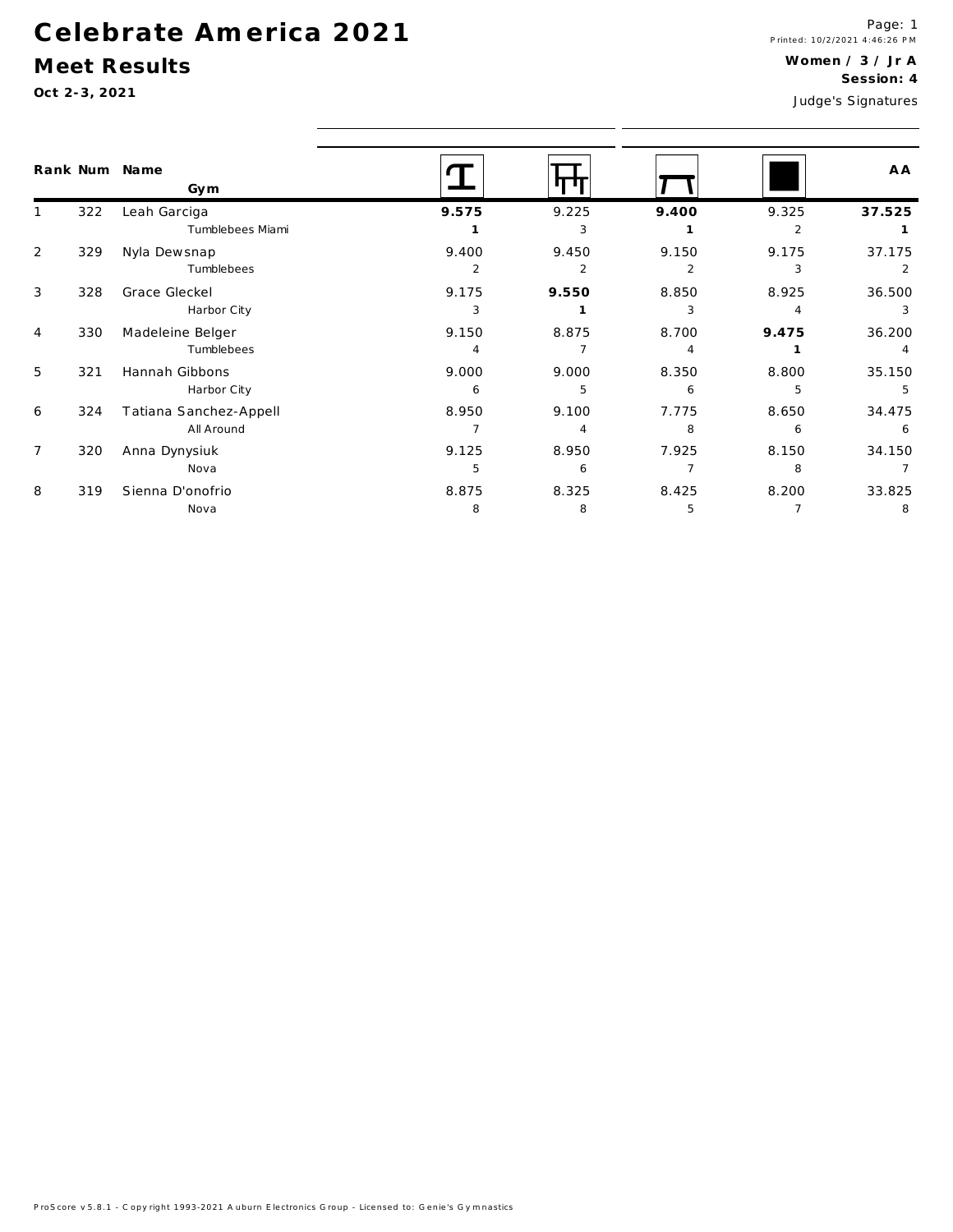### Meet Results

|                |     | Rank Num Name<br>Gym   |              |                |       |       | A A    |  |  |
|----------------|-----|------------------------|--------------|----------------|-------|-------|--------|--|--|
| $\mathbf{1}$   | 322 | Leah Garciga           | 9.575        | 9.225          | 9.400 | 9.325 | 37.525 |  |  |
|                |     | Tumblebees Miami       |              | 3              |       | 2     |        |  |  |
| $\overline{2}$ | 329 | Nyla Dewsnap           | 9.400        | 9.450          | 9.150 | 9.175 | 37.175 |  |  |
|                |     | Tumblebees             | 2            | 2              | 2     | 3     |        |  |  |
| 3              | 328 | Grace Gleckel          | 9.175        | 9.550          | 8.850 | 8.925 | 36.500 |  |  |
|                |     | Harbor City            | 3            |                | 3     |       | 3      |  |  |
| $\overline{4}$ | 330 | Madeleine Belger       | 9.150        | 8.875          | 8.700 | 9.475 | 36.200 |  |  |
|                |     | Tumblebees             | 4            |                |       |       |        |  |  |
| 5              | 321 | Hannah Gibbons         | 9.000        | 9.000          | 8.350 | 8.800 | 35.150 |  |  |
|                |     | Harbor City            | 6            | 5              | 6     | 5     | 5      |  |  |
| 6              | 324 | Tatiana Sanchez-Appell | 8.950        | 9.100          | 7.775 | 8.650 | 34.475 |  |  |
|                |     | All Around             |              | $\overline{A}$ | 8     | 6     | 6      |  |  |
| $\overline{7}$ | 320 | Anna Dynysiuk          | 9.125        | 8.950          | 7.925 | 8.150 | 34.150 |  |  |
|                |     | Nova                   | 5            | 6              |       | 8     |        |  |  |
| 8              | 319 | Sienna D'onofrio       | 8.875        | 8.325          | 8.425 | 8.200 | 33.825 |  |  |
|                |     | Nova                   | <sub>R</sub> | <sub>R</sub>   | Б.    |       | 8      |  |  |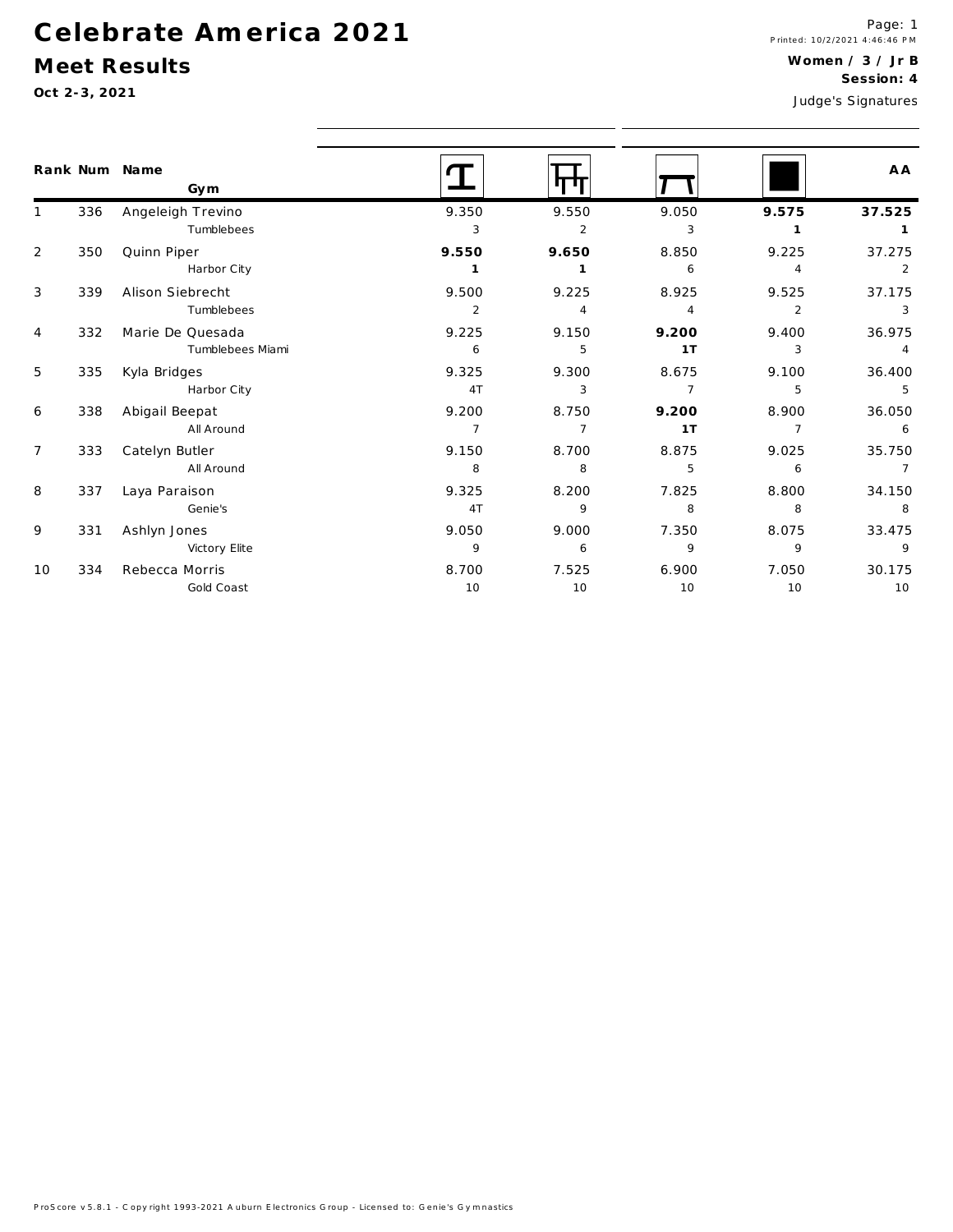### Meet Results

|                |     | Rank Num Name<br>Gym |                |                |                |                | A A            |
|----------------|-----|----------------------|----------------|----------------|----------------|----------------|----------------|
| $\mathbf{1}$   | 336 | Angeleigh Trevino    | 9.350          | 9.550          | 9.050          | 9.575          | 37.525         |
|                |     | Tumblebees           | 3              | 2              | 3              | $\mathbf{1}$   |                |
| $\overline{2}$ | 350 | Quinn Piper          | 9.550          | 9.650          | 8.850          | 9.225          | 37.275         |
|                |     | Harbor City          | 1              | 1              | 6              | 4              |                |
| 3              | 339 | Alison Siebrecht     | 9.500          | 9.225          | 8.925          | 9.525          | 37.175         |
|                |     | Tumblebees           | 2              | 4              | $\overline{4}$ | $\overline{2}$ | -3             |
| $\overline{4}$ | 332 | Marie De Quesada     | 9.225          | 9.150          | 9.200          | 9.400          | 36.975         |
|                |     | Tumblebees Miami     | 6              | 5              | 1T             | 3              | $\overline{4}$ |
| 5              | 335 | Kyla Bridges         | 9.325          | 9.300          | 8.675          | 9.100          | 36.400         |
|                |     | Harbor City          | 4T             | 3              | $\overline{7}$ | 5              | 5              |
| 6              | 338 | Abigail Beepat       | 9.200          | 8.750          | 9.200          | 8.900          | 36.050         |
|                |     | All Around           | $\overline{7}$ | $\overline{7}$ | 1T             | $\overline{7}$ | 6              |
| $\overline{7}$ | 333 | Catelyn Butler       | 9.150          | 8.700          | 8.875          | 9.025          | 35.750         |
|                |     | All Around           | 8              | 8              | 5              | 6              | $\overline{7}$ |
| 8              | 337 | Laya Paraison        | 9.325          | 8.200          | 7.825          | 8.800          | 34.150         |
|                |     | Genie's              | 4T             | 9              | 8              | 8              | 8              |
| 9              | 331 | Ashlyn Jones         | 9.050          | 9.000          | 7.350          | 8.075          | 33.475         |
|                |     | Victory Elite        | 9              | 6              | 9              | 9              | 9              |
| 10             | 334 | Rebecca Morris       | 8.700          | 7.525          | 6.900          | 7.050          | 30.175         |
|                |     | Gold Coast           | 10             | 10             | 10             | 10             | 10             |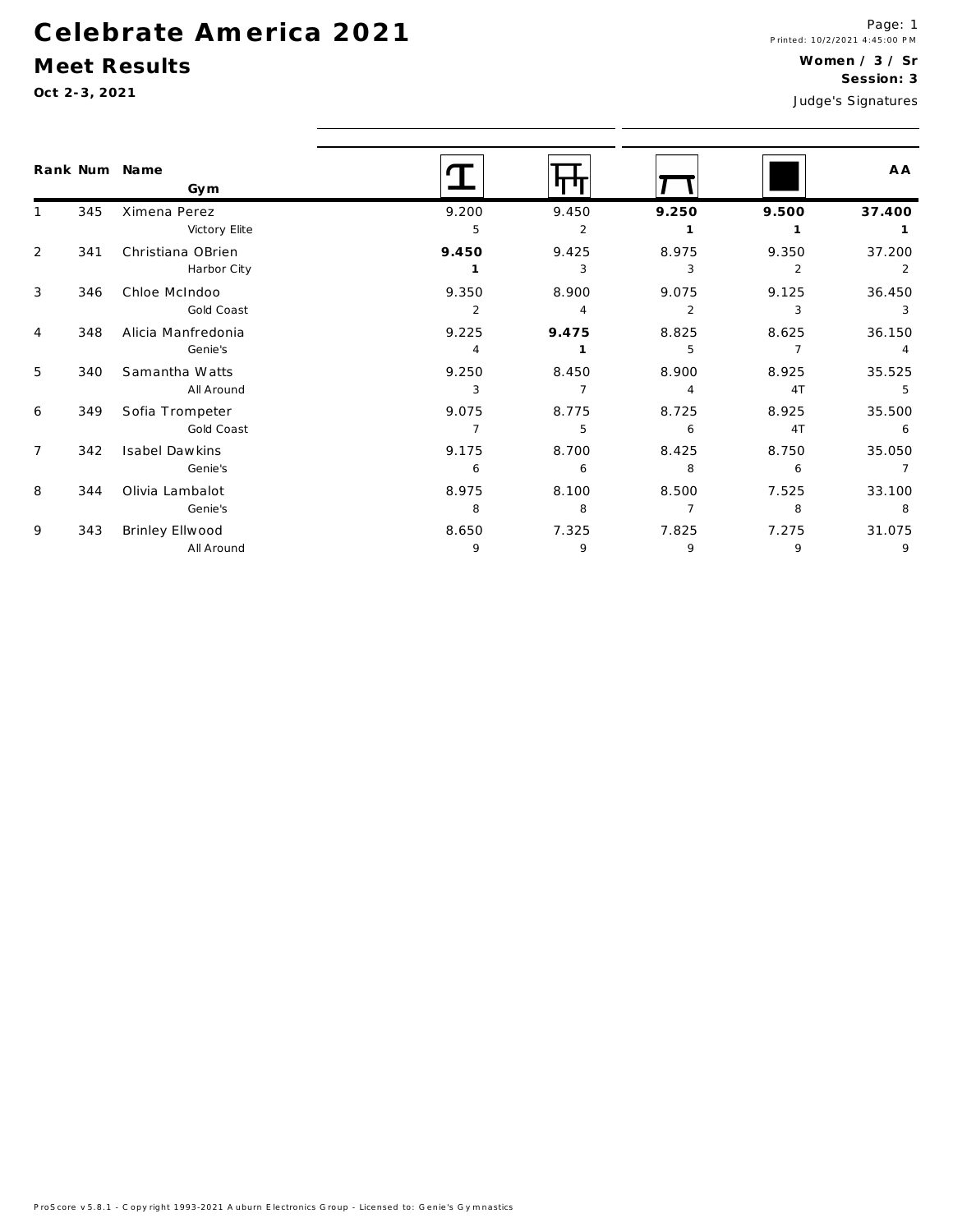### Meet Results

|                |     | Rank Num Name<br>Gym |                |                |                |                | A A    |
|----------------|-----|----------------------|----------------|----------------|----------------|----------------|--------|
|                | 345 | Ximena Perez         | 9.200          | 9.450          | 9.250          | 9.500          | 37.400 |
|                |     | Victory Elite        | 5              | $\overline{2}$ |                |                |        |
| 2              | 341 | Christiana OBrien    | 9.450          | 9.425          | 8.975          | 9.350          | 37.200 |
|                |     | Harbor City          |                | 3              | 3              | 2              | 2      |
| 3              | 346 | Chloe McIndoo        | 9.350          | 8.900          | 9.075          | 9.125          | 36.450 |
|                |     | Gold Coast           | $\overline{2}$ | $\overline{4}$ | $\overline{2}$ | 3              | 3      |
| $\overline{4}$ | 348 | Alicia Manfredonia   | 9.225          | 9.475          | 8.825          | 8.625          | 36.150 |
|                |     | Genie's              | $\overline{4}$ |                | 5              | $\overline{7}$ | 4      |
| 5              | 340 | Samantha Watts       | 9.250          | 8.450          | 8.900          | 8.925          | 35.525 |
|                |     | All Around           | 3              | 7              | $\overline{4}$ | 4T             | 5      |
| 6              | 349 | Sofia Trompeter      | 9.075          | 8.775          | 8.725          | 8.925          | 35.500 |
|                |     | Gold Coast           | $\overline{7}$ | 5              | 6              | 4T             | 6      |
| $\overline{7}$ | 342 | Isabel Dawkins       | 9.175          | 8.700          | 8.425          | 8.750          | 35.050 |
|                |     | Genie's              | 6              | 6              | 8              | 6              |        |
| 8              | 344 | Olivia Lambalot      | 8.975          | 8.100          | 8.500          | 7.525          | 33.100 |
|                |     | Genie's              | 8              | 8              | $\overline{7}$ | 8              | 8      |
| 9              | 343 | Brinley Ellwood      | 8.650          | 7.325          | 7.825          | 7.275          | 31.075 |
|                |     | All Around           | 9              | 9              | 9              | 9              | 9      |